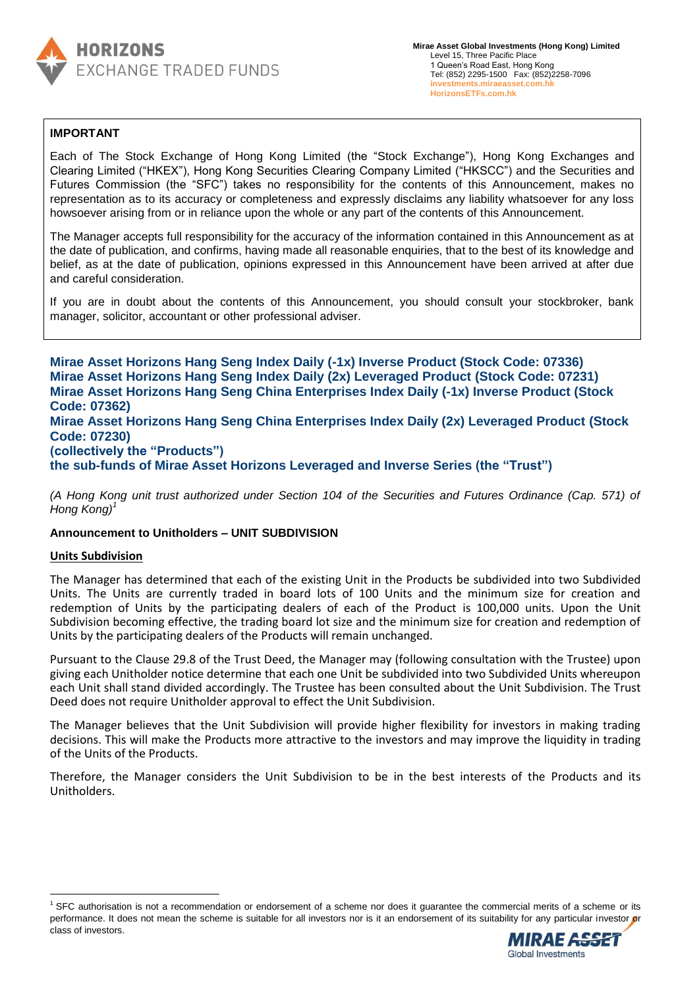

# **IMPORTANT**

Each of The Stock Exchange of Hong Kong Limited (the "Stock Exchange"), Hong Kong Exchanges and Clearing Limited ("HKEX"), Hong Kong Securities Clearing Company Limited ("HKSCC") and the Securities and Futures Commission (the "SFC") takes no responsibility for the contents of this Announcement, makes no representation as to its accuracy or completeness and expressly disclaims any liability whatsoever for any loss howsoever arising from or in reliance upon the whole or any part of the contents of this Announcement.

The Manager accepts full responsibility for the accuracy of the information contained in this Announcement as at the date of publication, and confirms, having made all reasonable enquiries, that to the best of its knowledge and belief, as at the date of publication, opinions expressed in this Announcement have been arrived at after due and careful consideration.

If you are in doubt about the contents of this Announcement, you should consult your stockbroker, bank manager, solicitor, accountant or other professional adviser.

**Mirae Asset Horizons Hang Seng Index Daily (-1x) Inverse Product (Stock Code: 07336) Mirae Asset Horizons Hang Seng Index Daily (2x) Leveraged Product (Stock Code: 07231) Mirae Asset Horizons Hang Seng China Enterprises Index Daily (-1x) Inverse Product (Stock Code: 07362) Mirae Asset Horizons Hang Seng China Enterprises Index Daily (2x) Leveraged Product (Stock Code: 07230) (collectively the "Products") the sub-funds of Mirae Asset Horizons Leveraged and Inverse Series (the "Trust")**

*(A Hong Kong unit trust authorized under Section 104 of the Securities and Futures Ordinance (Cap. 571) of Hong Kong)<sup>1</sup>*

## **Announcement to Unitholders – UNIT SUBDIVISION**

#### **Units Subdivision**

 $\ddot{\phantom{a}}$ 

The Manager has determined that each of the existing Unit in the Products be subdivided into two Subdivided Units. The Units are currently traded in board lots of 100 Units and the minimum size for creation and redemption of Units by the participating dealers of each of the Product is 100,000 units. Upon the Unit Subdivision becoming effective, the trading board lot size and the minimum size for creation and redemption of Units by the participating dealers of the Products will remain unchanged.

Pursuant to the Clause 29.8 of the Trust Deed, the Manager may (following consultation with the Trustee) upon giving each Unitholder notice determine that each one Unit be subdivided into two Subdivided Units whereupon each Unit shall stand divided accordingly. The Trustee has been consulted about the Unit Subdivision. The Trust Deed does not require Unitholder approval to effect the Unit Subdivision.

The Manager believes that the Unit Subdivision will provide higher flexibility for investors in making trading decisions. This will make the Products more attractive to the investors and may improve the liquidity in trading of the Units of the Products.

Therefore, the Manager considers the Unit Subdivision to be in the best interests of the Products and its Unitholders.

 $1$  SFC authorisation is not a recommendation or endorsement of a scheme nor does it quarantee the commercial merits of a scheme or its performance. It does not mean the scheme is suitable for all investors nor is it an endorsement of its suitability for any particular investor or class of investors.